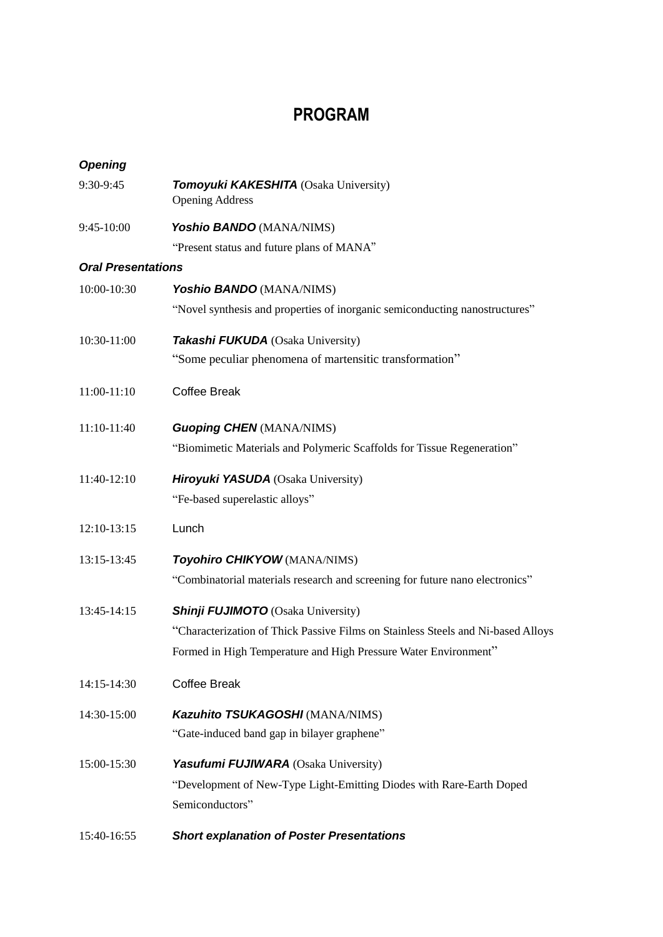# **PROGRAM**

| <b>Opening</b>            |                                                                                  |
|---------------------------|----------------------------------------------------------------------------------|
| 9:30-9:45                 | Tomoyuki KAKESHITA (Osaka University)<br><b>Opening Address</b>                  |
| 9:45-10:00                | Yoshio BANDO (MANA/NIMS)                                                         |
|                           | "Present status and future plans of MANA"                                        |
| <b>Oral Presentations</b> |                                                                                  |
| 10:00-10:30               | Yoshio BANDO (MANA/NIMS)                                                         |
|                           | "Novel synthesis and properties of inorganic semiconducting nanostructures"      |
| 10:30-11:00               | Takashi FUKUDA (Osaka University)                                                |
|                           | "Some peculiar phenomena of martensitic transformation"                          |
| 11:00-11:10               | <b>Coffee Break</b>                                                              |
| 11:10-11:40               | <b>Guoping CHEN (MANA/NIMS)</b>                                                  |
|                           | "Biomimetic Materials and Polymeric Scaffolds for Tissue Regeneration"           |
| 11:40-12:10               | <b>Hiroyuki YASUDA</b> (Osaka University)                                        |
|                           | "Fe-based superelastic alloys"                                                   |
| 12:10-13:15               | Lunch                                                                            |
| 13:15-13:45               | Toyohiro CHIKYOW (MANA/NIMS)                                                     |
|                           | "Combinatorial materials research and screening for future nano electronics"     |
| 13:45-14:15               | <b>Shinji FUJIMOTO</b> (Osaka University)                                        |
|                           | "Characterization of Thick Passive Films on Stainless Steels and Ni-based Alloys |
|                           | Formed in High Temperature and High Pressure Water Environment"                  |
| 14:15-14:30               | <b>Coffee Break</b>                                                              |
| 14:30-15:00               | Kazuhito TSUKAGOSHI (MANA/NIMS)                                                  |
|                           | "Gate-induced band gap in bilayer graphene"                                      |
| 15:00-15:30               | <b>Yasufumi FUJIWARA</b> (Osaka University)                                      |
|                           | "Development of New-Type Light-Emitting Diodes with Rare-Earth Doped             |
|                           | Semiconductors"                                                                  |
| 15:40-16:55               | <b>Short explanation of Poster Presentations</b>                                 |